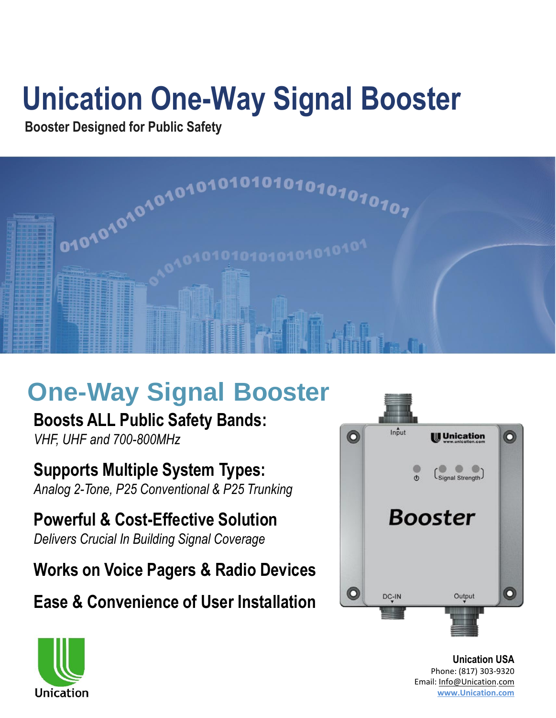# **Unication One-Way Signal Booster**

#### **Booster Designed for Public Safety**



## **One-Way Signal Booster**

**Boosts ALL Public Safety Bands:**  *VHF, UHF and 700-800MHz*

**Supports Multiple System Types:**  *Analog 2-Tone, P25 Conventional & P25 Trunking*

**Powerful & Cost-Effective Solution**  *Delivers Crucial In Building Signal Coverage*

**Works on Voice Pagers & Radio Devices**

**Ease & Convenience of User Installation**



**Unication USA** Phone: (817) 303-9320 Email: [Info@Unication](mailto:Info@Unication.com).[com](mailto:Info@Unication.com) **[www.Unication.com](http://www.unication,com/)**

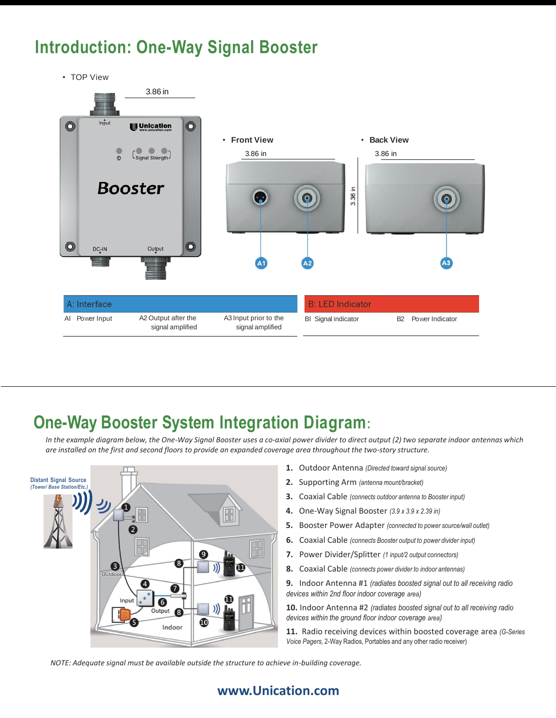#### **Introduction: One-Way Signal Booster**

• TOP View



#### **One-Way Booster System Integration Diagram:**

*In the example diagram below, the One-Way Signal Booster uses a co-axial power divider to direct output (2) two separate indoor antennas which are installed on the first and second floors to provide an expanded coverage area throughout the two-story structure.* 



- **1.** Outdoor Antenna *(Directed toward signal source)*
- **2.** Supporting Arm *(antenna mount/bracket)*
- **3.** Coaxial Cable *(connects outdoor antenna to Booster input)*
- **4.** One-Way Signal Booster *(3.9 x 3.9 x 2.39 in)*
- **5.** Booster Power Adapter *(connected to power source/wall outlet)*
- **6.** Coaxial Cable *(connects Booster output to power divider input)*
- **7.** Power Divider/Splitter *(1 input/2 output connectors)*
- **8.** Coaxial Cable *(connects power divider to indoor antennas)*

**9.** Indoor Antenna #1 *(radiates boosted signal out to all receiving radio devices within 2nd floor indoor coverage area)* 

**10.** Indoor Antenna #2 *(radiates boosted signal out to all receiving radio devices within the ground floor indoor coverage area)* 

**11.** Radio receiving devices within boosted coverage area *(G-Series Voice Pagers,* 2-Way Radios, Portables and any other radio receiver)

*NOTE: Adequate signal must be available outside the structure to achieve in-building coverage.* 

#### **www.Unication.com**